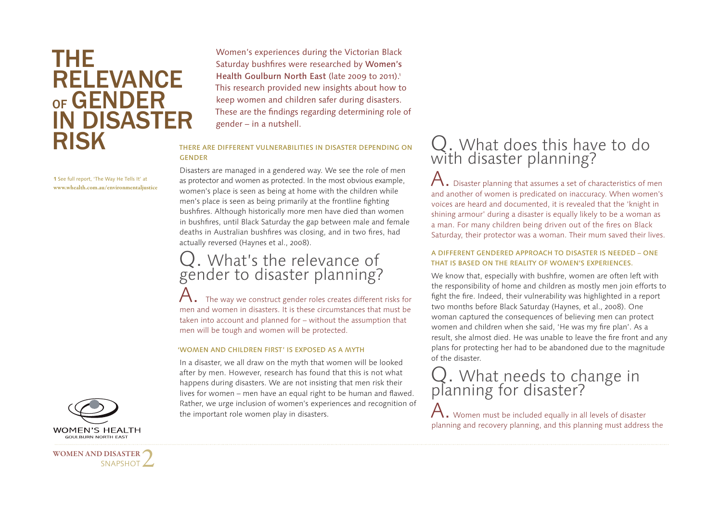## THE RELEVANCE  $o_F$  GENDER IN DISASTER RISK

**1** See full report, 'The Way He Tells It' at **www.whealth.com.au/environmentaljustice** Women's experiences during the Victorian Black Saturday bushfires were researched by Women's Health Goulburn North East (late 2009 to 2011).<sup>1</sup> This research provided new insights about how to keep women and children safer during disasters. These are the findings regarding determining role of gender – in a nutshell.

#### THERE ARE DIFFERENT VULNERABILITIES IN DISASTER DEPENDING ON GENDER

Disasters are managed in a gendered way. We see the role of men as protector and women as protected. In the most obvious example, women's place is seen as being at home with the children while men's place is seen as being primarily at the frontline fighting bushfires. Although historically more men have died than women in bushfires, until Black Saturday the gap between male and female deaths in Australian bushfires was closing, and in two fires, had actually reversed (Haynes et al., 2008).

## Q. What's the relevance of gender to disaster planning?

The way we construct gender roles creates different risks for men and women in disasters. It is these circumstances that must be taken into account and planned for – without the assumption that men will be tough and women will be protected.

#### 'WOMEN AND CHILDREN FIRST' IS EXPOSED AS A MYTH

In a disaster, we all draw on the myth that women will be looked after by men. However, research has found that this is not what happens during disasters. We are not insisting that men risk their lives for women – men have an equal right to be human and flawed. Rather, we urge inclusion of women's experiences and recognition of the important role women play in disasters.



A. Disaster planning that assumes a set of characteristics of men and another of women is predicated on inaccuracy. When women's voices are heard and documented, it is revealed that the 'knight in shining armour' during a disaster is equally likely to be a woman as a man. For many children being driven out of the fires on Black Saturday, their protector was a woman. Their mum saved their lives.

#### A DIFFERENT GENDERED APPROACH TO DISASTER IS NEEDED – ONE THAT IS BASED ON THE REALITY OF WOMEN'S EXPERIENCES.

We know that, especially with bushfire, women are often left with the responsibility of home and children as mostly men join efforts to fight the fire. Indeed, their vulnerability was highlighted in a report two months before Black Saturday (Haynes, et al., 2008). One woman captured the consequences of believing men can protect women and children when she said, 'He was my fire plan'. As a result, she almost died. He was unable to leave the fire front and any plans for protecting her had to be abandoned due to the magnitude of the disaster.

# Q. What needs to change in planning for disaster?

 $\mathsf A.$  Women must be included equally in all levels of disaster planning and recovery planning, and this planning must address the



**WOMEN AND DISASTER** 

SNAPSHOT 2